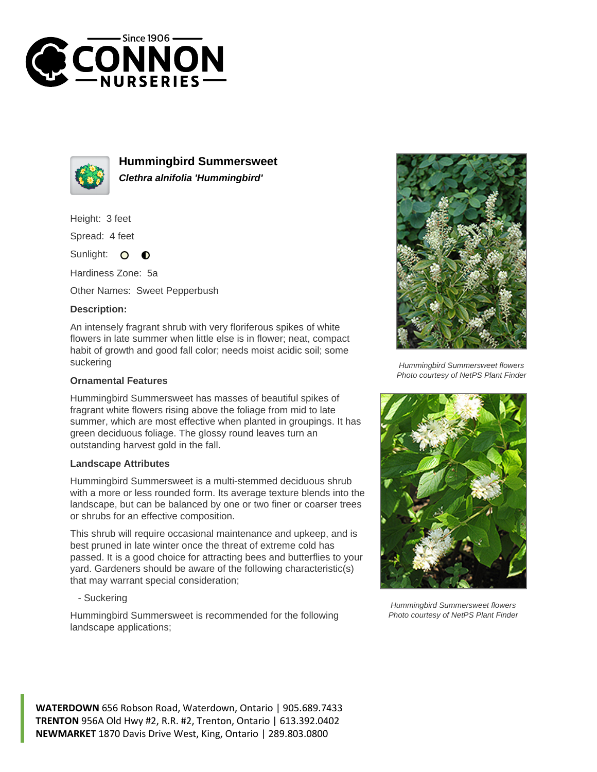



**Hummingbird Summersweet Clethra alnifolia 'Hummingbird'**

Height: 3 feet

Spread: 4 feet

Sunlight:  $\Omega$  $\bullet$ 

Hardiness Zone: 5a

Other Names: Sweet Pepperbush

## **Description:**

An intensely fragrant shrub with very floriferous spikes of white flowers in late summer when little else is in flower; neat, compact habit of growth and good fall color; needs moist acidic soil; some suckering

## **Ornamental Features**

Hummingbird Summersweet has masses of beautiful spikes of fragrant white flowers rising above the foliage from mid to late summer, which are most effective when planted in groupings. It has green deciduous foliage. The glossy round leaves turn an outstanding harvest gold in the fall.

## **Landscape Attributes**

Hummingbird Summersweet is a multi-stemmed deciduous shrub with a more or less rounded form. Its average texture blends into the landscape, but can be balanced by one or two finer or coarser trees or shrubs for an effective composition.

This shrub will require occasional maintenance and upkeep, and is best pruned in late winter once the threat of extreme cold has passed. It is a good choice for attracting bees and butterflies to your yard. Gardeners should be aware of the following characteristic(s) that may warrant special consideration;

- Suckering

Hummingbird Summersweet is recommended for the following landscape applications;



Hummingbird Summersweet flowers Photo courtesy of NetPS Plant Finder



Hummingbird Summersweet flowers Photo courtesy of NetPS Plant Finder

**WATERDOWN** 656 Robson Road, Waterdown, Ontario | 905.689.7433 **TRENTON** 956A Old Hwy #2, R.R. #2, Trenton, Ontario | 613.392.0402 **NEWMARKET** 1870 Davis Drive West, King, Ontario | 289.803.0800